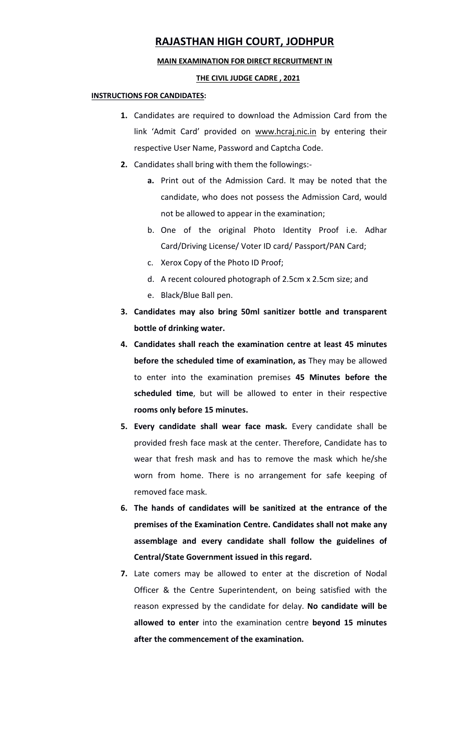## **RAJASTHAN HIGH COURT, JODHPUR**

## **MAIN EXAMINATION FOR DIRECT RECRUITMENT IN**

## **THE CIVIL JUDGE CADRE , 2021**

## **INSTRUCTIONS FOR CANDIDATES:**

- **1.** Candidates are required to download the Admission Card from the link 'Admit Card' provided on www.hcraj.nic.in by entering their respective User Name, Password and Captcha Code.
- **2.** Candidates shall bring with them the followings:
	- **a.** Print out of the Admission Card. It may be noted that the candidate, who does not possess the Admission Card, would not be allowed to appear in the examination;
	- b. One of the original Photo Identity Proof i.e. Adhar Card/Driving License/ Voter ID card/ Passport/PAN Card;
	- c. Xerox Copy of the Photo ID Proof;
	- d. A recent coloured photograph of 2.5cm x 2.5cm size; and
	- e. Black/Blue Ball pen.
- **3. Candidates may also bring 50ml sanitizer bottle and transparent bottle of drinking water.**
- **4. Candidates shall reach the examination centre at least 45 minutes before the scheduled time of examination, as** They may be allowed to enter into the examination premises **45 Minutes before the scheduled time**, but will be allowed to enter in their respective **rooms only before 15 minutes.**
- **5. Every candidate shall wear face mask.** Every candidate shall be provided fresh face mask at the center. Therefore, Candidate has to wear that fresh mask and has to remove the mask which he/she worn from home. There is no arrangement for safe keeping of removed face mask.
- **6. The hands of candidates will be sanitized at the entrance of the premises of the Examination Centre. Candidates shall not make any assemblage and every candidate shall follow the guidelines of Central/State Government issued in this regard.**
- **7.** Late comers may be allowed to enter at the discretion of Nodal Officer & the Centre Superintendent, on being satisfied with the reason expressed by the candidate for delay. **No candidate will be allowed to enter** into the examination centre **beyond 15 minutes after the commencement of the examination.**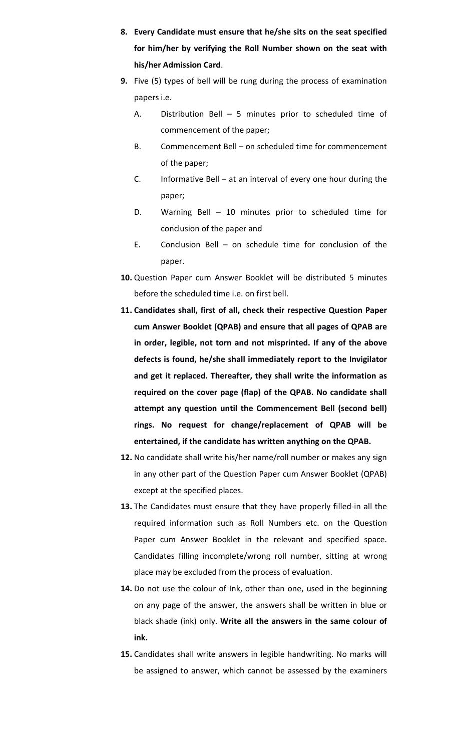- **8. Every Candidate must ensure that he/she sits on the seat specified for him/her by verifying the Roll Number shown on the seat with his/her Admission Card**.
- **9.** Five (5) types of bell will be rung during the process of examination papers i.e.
	- A. Distribution Bell 5 minutes prior to scheduled time of commencement of the paper;
	- B. Commencement Bell on scheduled time for commencement of the paper;
	- C. Informative Bell at an interval of every one hour during the paper;
	- D. Warning Bell 10 minutes prior to scheduled time for conclusion of the paper and
	- E. Conclusion Bell on schedule time for conclusion of the paper.
- **10.** Question Paper cum Answer Booklet will be distributed 5 minutes before the scheduled time i.e. on first bell.
- **11. Candidates shall, first of all, check their respective Question Paper cum Answer Booklet (QPAB) and ensure that all pages of QPAB are in order, legible, not torn and not misprinted. If any of the above defects is found, he/she shall immediately report to the Invigilator and get it replaced. Thereafter, they shall write the information as required on the cover page (flap) of the QPAB. No candidate shall attempt any question until the Commencement Bell (second bell) rings. No request for change/replacement of QPAB will be entertained, if the candidate has written anything on the QPAB.**
- **12.** No candidate shall write his/her name/roll number or makes any sign in any other part of the Question Paper cum Answer Booklet (QPAB) except at the specified places.
- **13.** The Candidates must ensure that they have properly filled-in all the required information such as Roll Numbers etc. on the Question Paper cum Answer Booklet in the relevant and specified space. Candidates filling incomplete/wrong roll number, sitting at wrong place may be excluded from the process of evaluation.
- **14.** Do not use the colour of Ink, other than one, used in the beginning on any page of the answer, the answers shall be written in blue or black shade (ink) only. **Write all the answers in the same colour of ink.**
- **15.** Candidates shall write answers in legible handwriting. No marks will be assigned to answer, which cannot be assessed by the examiners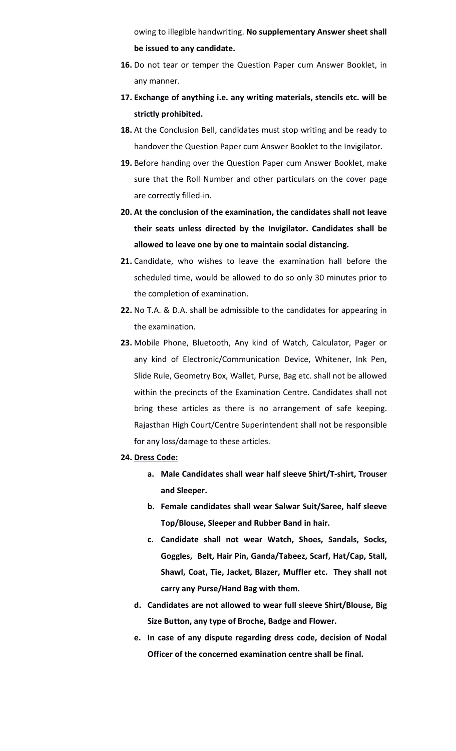owing to illegible handwriting. **No supplementary Answer sheet shall be issued to any candidate.** 

- **16.** Do not tear or temper the Question Paper cum Answer Booklet, in any manner.
- **17. Exchange of anything i.e. any writing materials, stencils etc. will be strictly prohibited.**
- **18.** At the Conclusion Bell, candidates must stop writing and be ready to handover the Question Paper cum Answer Booklet to the Invigilator.
- **19.** Before handing over the Question Paper cum Answer Booklet, make sure that the Roll Number and other particulars on the cover page are correctly filled-in.
- **20. At the conclusion of the examination, the candidates shall not leave their seats unless directed by the Invigilator. Candidates shall be allowed to leave one by one to maintain social distancing.**
- **21.** Candidate, who wishes to leave the examination hall before the scheduled time, would be allowed to do so only 30 minutes prior to the completion of examination.
- **22.** No T.A. & D.A. shall be admissible to the candidates for appearing in the examination.
- **23.** Mobile Phone, Bluetooth, Any kind of Watch, Calculator, Pager or any kind of Electronic/Communication Device, Whitener, Ink Pen, Slide Rule, Geometry Box, Wallet, Purse, Bag etc. shall not be allowed within the precincts of the Examination Centre. Candidates shall not bring these articles as there is no arrangement of safe keeping. Rajasthan High Court/Centre Superintendent shall not be responsible for any loss/damage to these articles.
- **24. Dress Code:**
	- **a. Male Candidates shall wear half sleeve Shirt/T-shirt, Trouser and Sleeper.**
	- **b. Female candidates shall wear Salwar Suit/Saree, half sleeve Top/Blouse, Sleeper and Rubber Band in hair.**
	- **c. Candidate shall not wear Watch, Shoes, Sandals, Socks, Goggles, Belt, Hair Pin, Ganda/Tabeez, Scarf, Hat/Cap, Stall, Shawl, Coat, Tie, Jacket, Blazer, Muffler etc. They shall not carry any Purse/Hand Bag with them.**
	- **d. Candidates are not allowed to wear full sleeve Shirt/Blouse, Big Size Button, any type of Broche, Badge and Flower.**
	- **e. In case of any dispute regarding dress code, decision of Nodal Officer of the concerned examination centre shall be final.**